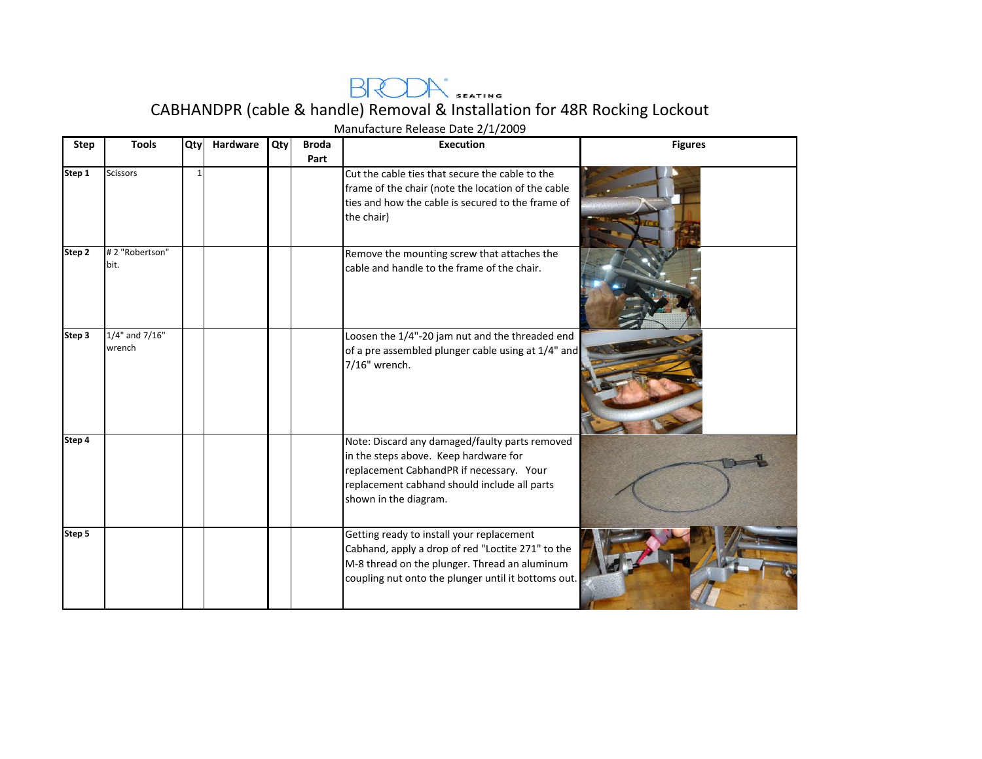

CABHANDPR (cable & handle) Removal & Installation for 48R Rocking Lockout

| <b>Step</b>                             | <b>Tools</b>             | Qty          | Hardware | Qty | <b>Broda</b> | Manufacture Release Date 2/1/2009<br><b>Execution</b>                                                                                                                                                        | <b>Figures</b> |
|-----------------------------------------|--------------------------|--------------|----------|-----|--------------|--------------------------------------------------------------------------------------------------------------------------------------------------------------------------------------------------------------|----------------|
|                                         |                          |              |          |     | Part         |                                                                                                                                                                                                              |                |
| $\overline{\mathsf{Step}}\, \mathsf{1}$ | <b>Scissors</b>          | $\mathbf{1}$ |          |     |              | Cut the cable ties that secure the cable to the<br>frame of the chair (note the location of the cable<br>ties and how the cable is secured to the frame of<br>the chair)                                     |                |
| $\overline{\mathsf{Step 2}}$            | #2 "Robertson"<br>bit.   |              |          |     |              | Remove the mounting screw that attaches the<br>cable and handle to the frame of the chair.                                                                                                                   |                |
| Step 3                                  | 1/4" and 7/16"<br>wrench |              |          |     |              | Loosen the 1/4"-20 jam nut and the threaded end<br>of a pre assembled plunger cable using at 1/4" and<br>7/16" wrench.                                                                                       |                |
| Step 4                                  |                          |              |          |     |              | Note: Discard any damaged/faulty parts removed<br>in the steps above. Keep hardware for<br>replacement CabhandPR if necessary. Your<br>replacement cabhand should include all parts<br>shown in the diagram. |                |
| Step 5                                  |                          |              |          |     |              | Getting ready to install your replacement<br>Cabhand, apply a drop of red "Loctite 271" to the<br>M-8 thread on the plunger. Thread an aluminum<br>coupling nut onto the plunger until it bottoms out.       |                |